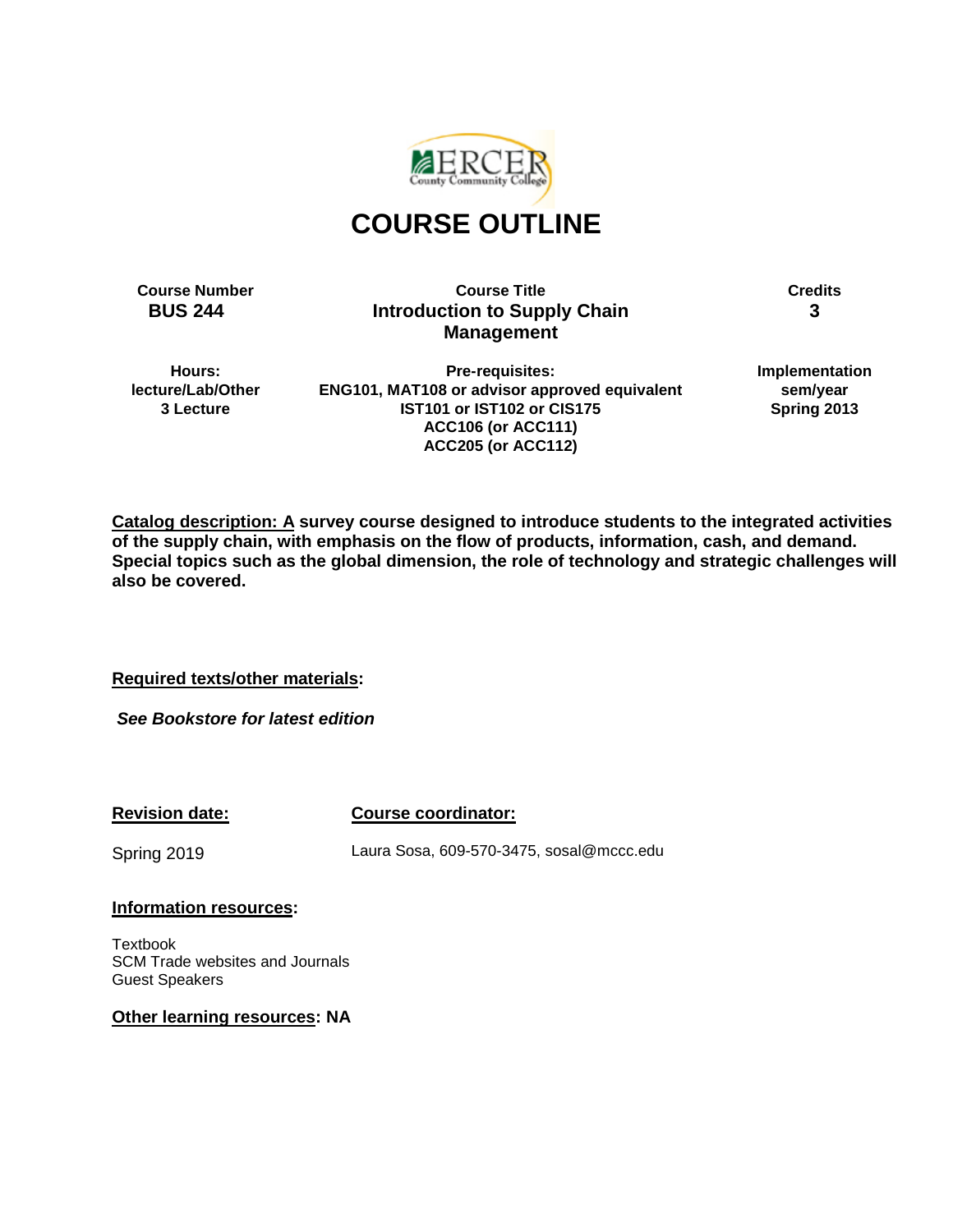

# **COURSE OUTLINE**

**Course Number Course Title Credits BUS 244 Introduction to Supply Chain Management**

**3**

**Hours: lecture/Lab/Other 3 Lecture**

**Pre-requisites: ENG101, MAT108 or advisor approved equivalent IST101 or IST102 or CIS175 ACC106 (or ACC111) ACC205 (or ACC112)**

**Implementation sem/year Spring 2013**

**Catalog description: A survey course designed to introduce students to the integrated activities of the supply chain, with emphasis on the flow of products, information, cash, and demand. Special topics such as the global dimension, the role of technology and strategic challenges will also be covered.** 

**Required texts/other materials:**

*See Bookstore for latest edition*

**Revision date:**

**Course coordinator:**

Spring 2019

Laura Sosa, 609-570-3475, sosal@mccc.edu

#### **Information resources:**

Textbook SCM Trade websites and Journals Guest Speakers

**Other learning resources: NA**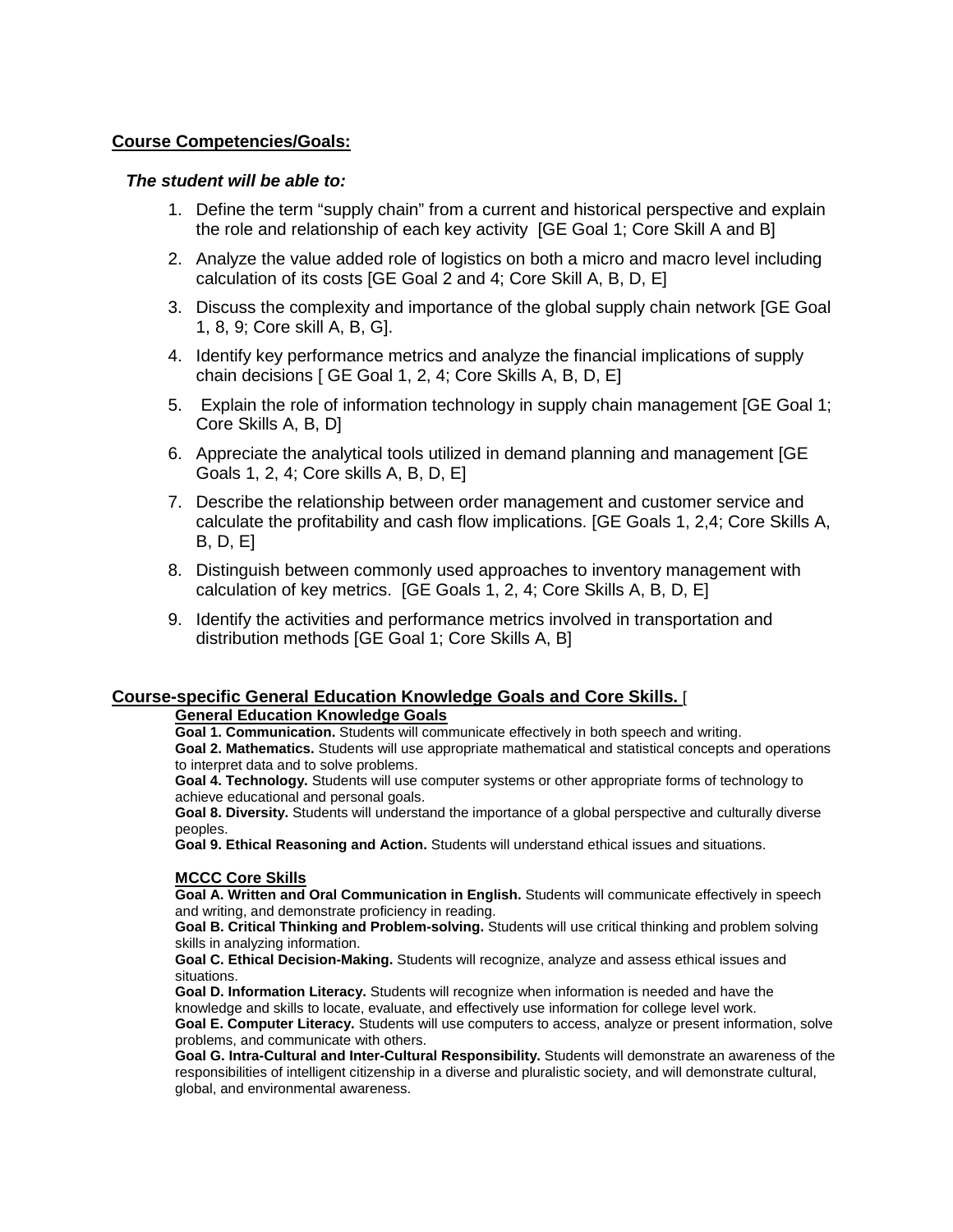#### **Course Competencies/Goals:**

#### *The student will be able to:*

- 1. Define the term "supply chain" from a current and historical perspective and explain the role and relationship of each key activity [GE Goal 1; Core Skill A and B]
- 2. Analyze the value added role of logistics on both a micro and macro level including calculation of its costs [GE Goal 2 and 4; Core Skill A, B, D, E]
- 3. Discuss the complexity and importance of the global supply chain network [GE Goal 1, 8, 9; Core skill A, B, G].
- 4. Identify key performance metrics and analyze the financial implications of supply chain decisions [ GE Goal 1, 2, 4; Core Skills A, B, D, E]
- 5. Explain the role of information technology in supply chain management [GE Goal 1; Core Skills A, B, D]
- 6. Appreciate the analytical tools utilized in demand planning and management [GE Goals 1, 2, 4; Core skills A, B, D, E]
- 7. Describe the relationship between order management and customer service and calculate the profitability and cash flow implications. [GE Goals 1, 2,4; Core Skills A, B, D, E]
- 8. Distinguish between commonly used approaches to inventory management with calculation of key metrics. [GE Goals 1, 2, 4; Core Skills A, B, D, E]
- 9. Identify the activities and performance metrics involved in transportation and distribution methods [GE Goal 1; Core Skills A, B]

#### **Course-specific General Education Knowledge Goals and Core Skills.** [

## **General Education Knowledge Goals**

**Goal 1. Communication.** Students will communicate effectively in both speech and writing. **Goal 2. Mathematics.** Students will use appropriate mathematical and statistical concepts and operations to interpret data and to solve problems.

**Goal 4. Technology.** Students will use computer systems or other appropriate forms of technology to achieve educational and personal goals.

**Goal 8. Diversity.** Students will understand the importance of a global perspective and culturally diverse peoples.

**Goal 9. Ethical Reasoning and Action.** Students will understand ethical issues and situations.

#### **MCCC Core Skills**

**Goal A. Written and Oral Communication in English.** Students will communicate effectively in speech and writing, and demonstrate proficiency in reading.

**Goal B. Critical Thinking and Problem-solving.** Students will use critical thinking and problem solving skills in analyzing information.

**Goal C. Ethical Decision-Making.** Students will recognize, analyze and assess ethical issues and situations.

**Goal D. Information Literacy.** Students will recognize when information is needed and have the knowledge and skills to locate, evaluate, and effectively use information for college level work.

**Goal E. Computer Literacy.** Students will use computers to access, analyze or present information, solve problems, and communicate with others.

**Goal G. Intra-Cultural and Inter-Cultural Responsibility.** Students will demonstrate an awareness of the responsibilities of intelligent citizenship in a diverse and pluralistic society, and will demonstrate cultural, global, and environmental awareness.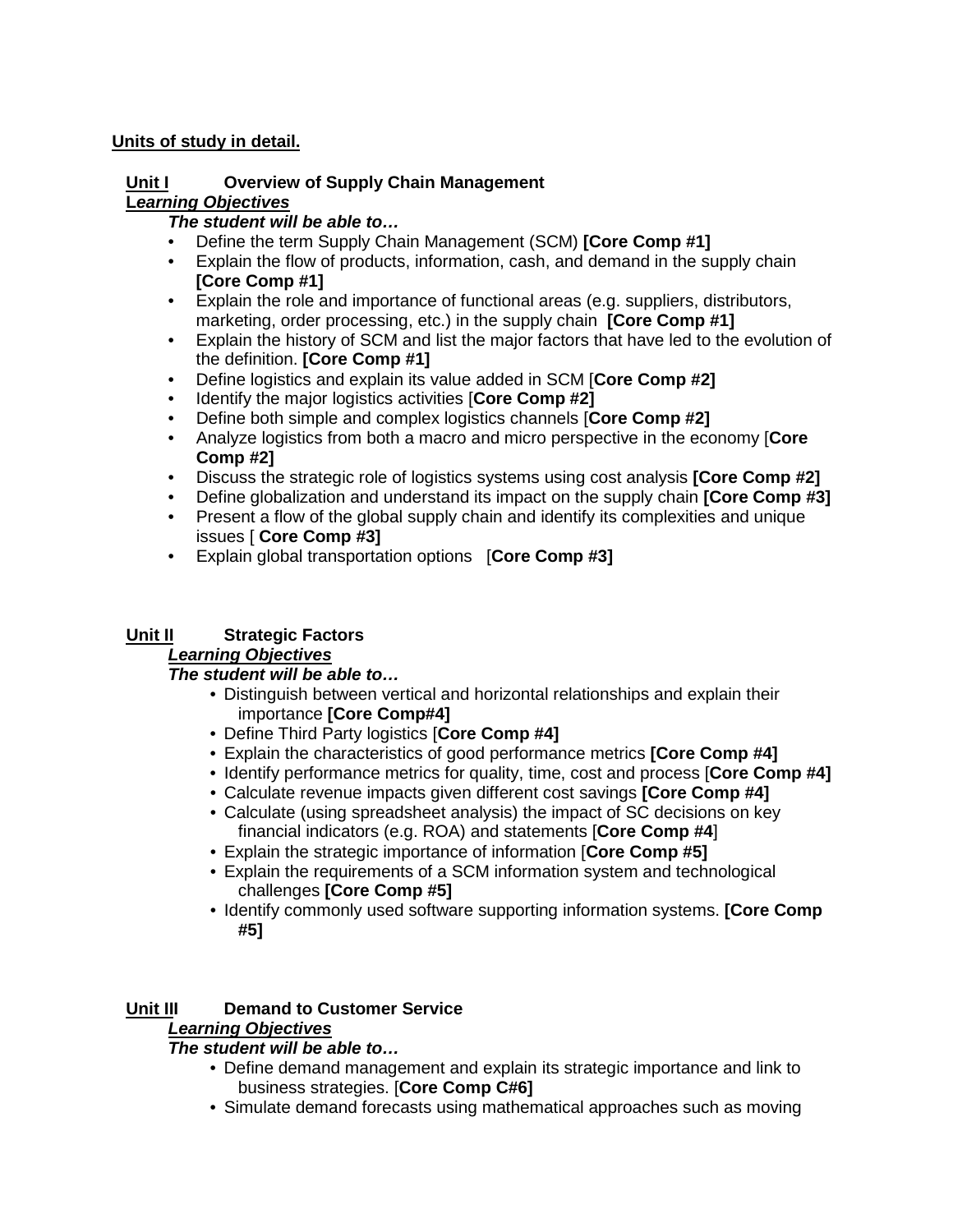## **Units of study in detail.**

#### **Unit I Overview of Supply Chain Management L***earning Objectives*

### *The student will be able to…*

- Define the term Supply Chain Management (SCM) **[Core Comp #1]**
- Explain the flow of products, information, cash, and demand in the supply chain **[Core Comp #1]**
- Explain the role and importance of functional areas (e.g. suppliers, distributors, marketing, order processing, etc.) in the supply chain **[Core Comp #1]**
- Explain the history of SCM and list the major factors that have led to the evolution of the definition. **[Core Comp #1]**
- Define logistics and explain its value added in SCM [**Core Comp #2]**
- Identify the major logistics activities [**Core Comp #2]**
- Define both simple and complex logistics channels [**Core Comp #2]**
- Analyze logistics from both a macro and micro perspective in the economy [**Core Comp #2]**
- Discuss the strategic role of logistics systems using cost analysis **[Core Comp #2]**
- Define globalization and understand its impact on the supply chain **[Core Comp #3]**
- Present a flow of the global supply chain and identify its complexities and unique issues [ **Core Comp #3]**
- Explain global transportation options [**Core Comp #3]**

# **Unit II Strategic Factors**

# *Learning Objectives*

# *The student will be able to…*

- Distinguish between vertical and horizontal relationships and explain their importance **[Core Comp#4]**
- Define Third Party logistics [**Core Comp #4]**
- Explain the characteristics of good performance metrics **[Core Comp #4]**
- Identify performance metrics for quality, time, cost and process [**Core Comp #4]**
- Calculate revenue impacts given different cost savings **[Core Comp #4]**
- Calculate (using spreadsheet analysis) the impact of SC decisions on key financial indicators (e.g. ROA) and statements [**Core Comp #4**]
- Explain the strategic importance of information [**Core Comp #5]**
- Explain the requirements of a SCM information system and technological challenges **[Core Comp #5]**
- Identify commonly used software supporting information systems. **[Core Comp #5]**

# **Unit III Demand to Customer Service**

# *Learning Objectives*

# *The student will be able to…*

- Define demand management and explain its strategic importance and link to business strategies. [**Core Comp C#6]**
- Simulate demand forecasts using mathematical approaches such as moving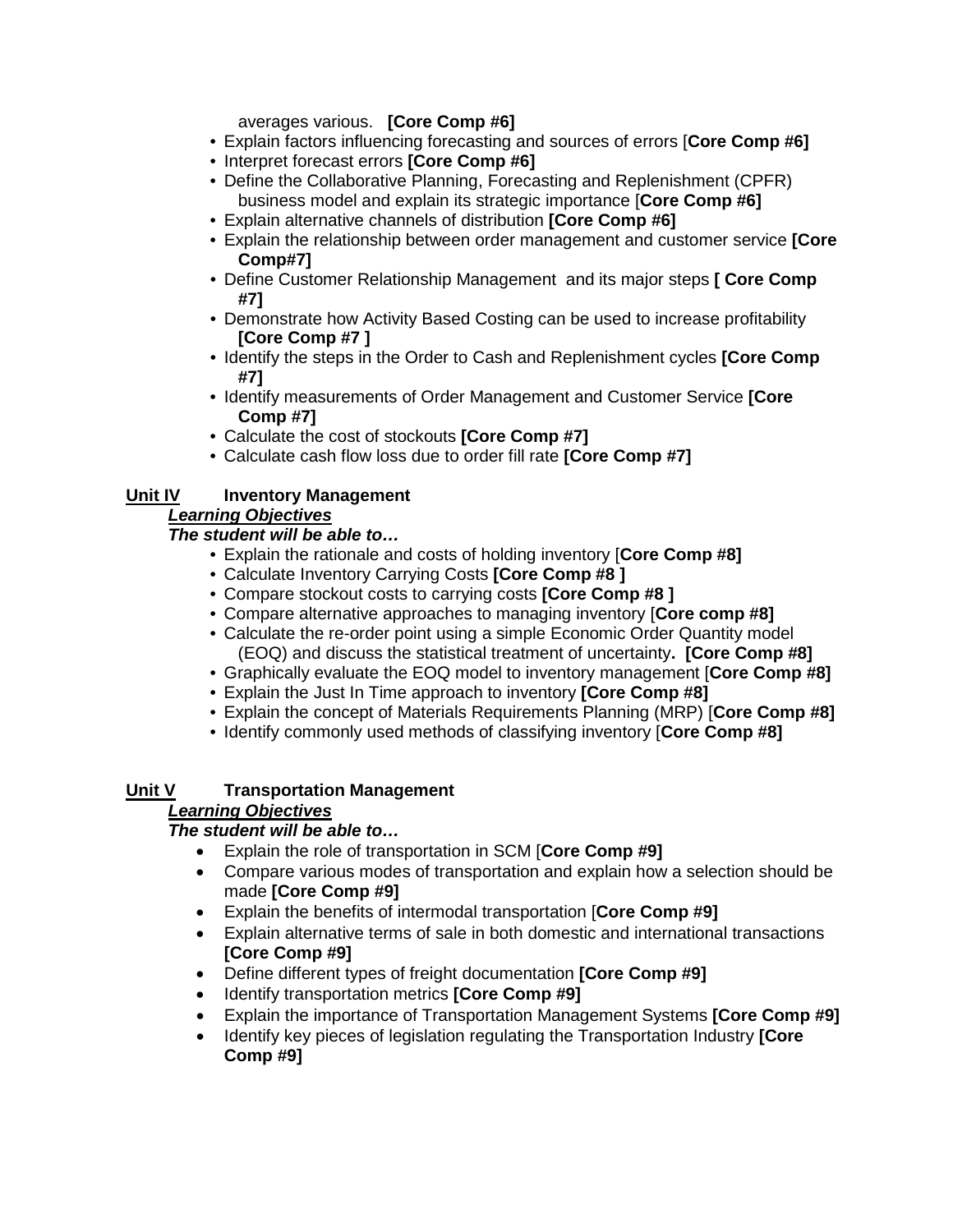averages various. **[Core Comp #6]**

- Explain factors influencing forecasting and sources of errors [**Core Comp #6]**
- Interpret forecast errors **[Core Comp #6]**
- Define the Collaborative Planning, Forecasting and Replenishment (CPFR) business model and explain its strategic importance [**Core Comp #6]**
- Explain alternative channels of distribution **[Core Comp #6]**
- Explain the relationship between order management and customer service **[Core Comp#7]**
- Define Customer Relationship Management and its major steps **[ Core Comp #7]**
- Demonstrate how Activity Based Costing can be used to increase profitability **[Core Comp #7 ]**
- Identify the steps in the Order to Cash and Replenishment cycles **[Core Comp #7]**
- Identify measurements of Order Management and Customer Service **[Core Comp #7]**
- Calculate the cost of stockouts **[Core Comp #7]**
- Calculate cash flow loss due to order fill rate **[Core Comp #7]**

## **Unit IV Inventory Management**

## *Learning Objectives*

#### *The student will be able to…*

- Explain the rationale and costs of holding inventory [**Core Comp #8]**
- Calculate Inventory Carrying Costs **[Core Comp #8 ]**
- Compare stockout costs to carrying costs **[Core Comp #8 ]**
- Compare alternative approaches to managing inventory [**Core comp #8]**
- Calculate the re-order point using a simple Economic Order Quantity model (EOQ) and discuss the statistical treatment of uncertainty**. [Core Comp #8]**
- Graphically evaluate the EOQ model to inventory management [**Core Comp #8]**
- Explain the Just In Time approach to inventory **[Core Comp #8]**
- Explain the concept of Materials Requirements Planning (MRP) [**Core Comp #8]**
- Identify commonly used methods of classifying inventory [**Core Comp #8]**

# **Unit V Transportation Management**

#### *Learning Objectives*

#### *The student will be able to…*

- Explain the role of transportation in SCM [**Core Comp #9]**
- Compare various modes of transportation and explain how a selection should be made **[Core Comp #9]**
- Explain the benefits of intermodal transportation [**Core Comp #9]**
- Explain alternative terms of sale in both domestic and international transactions **[Core Comp #9]**
- Define different types of freight documentation **[Core Comp #9]**
- Identify transportation metrics **[Core Comp #9]**
- Explain the importance of Transportation Management Systems **[Core Comp #9]**
- Identify key pieces of legislation regulating the Transportation Industry **[Core Comp #9]**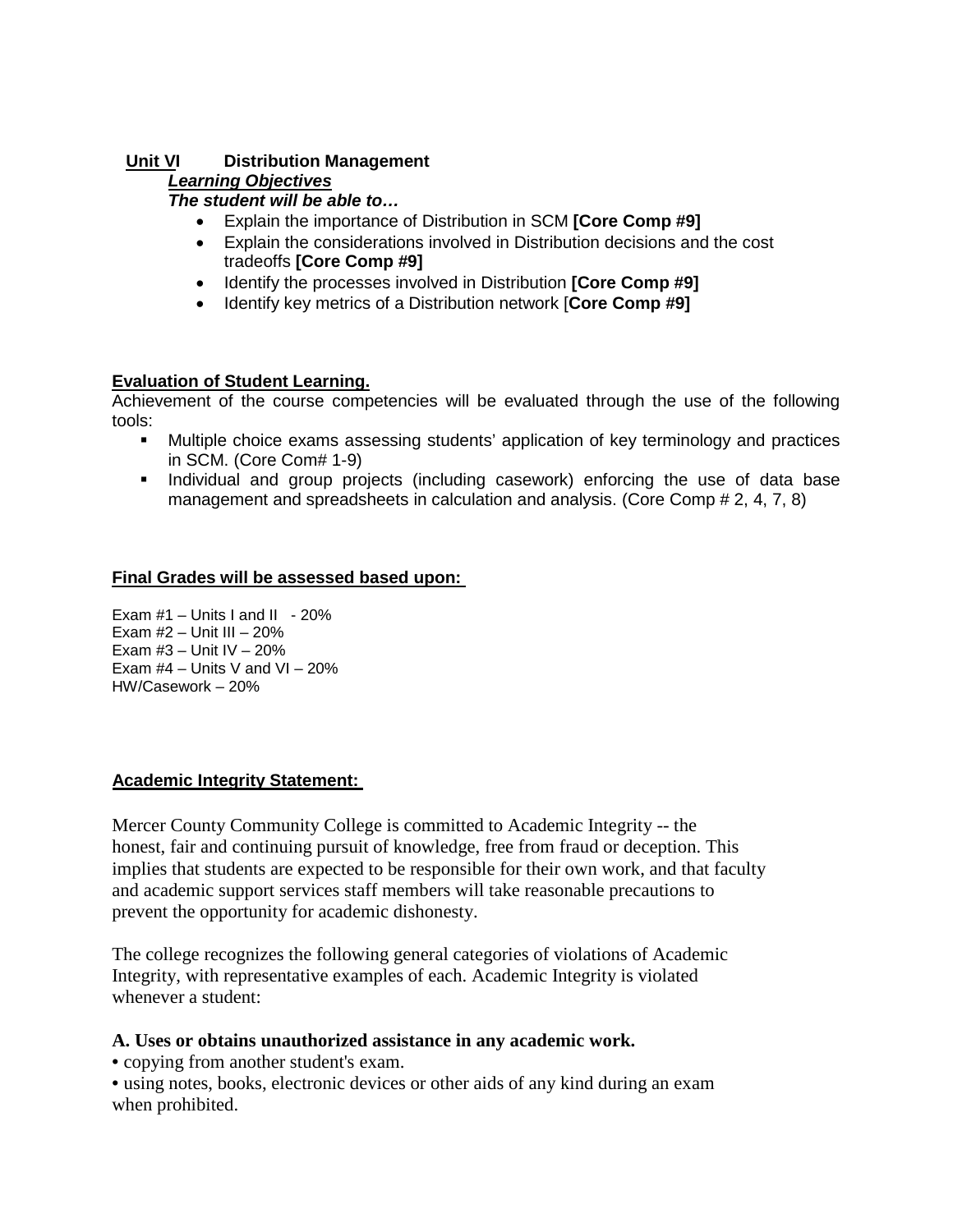## **Unit VI Distribution Management**

### *Learning Objectives*

#### *The student will be able to…*

- Explain the importance of Distribution in SCM **[Core Comp #9]**
- Explain the considerations involved in Distribution decisions and the cost tradeoffs **[Core Comp #9]**
- Identify the processes involved in Distribution **[Core Comp #9]**
- Identify key metrics of a Distribution network [**Core Comp #9]**

#### **Evaluation of Student Learning.**

Achievement of the course competencies will be evaluated through the use of the following tools:

- Multiple choice exams assessing students' application of key terminology and practices in SCM. (Core Com# 1-9)
- Individual and group projects (including casework) enforcing the use of data base management and spreadsheets in calculation and analysis. (Core Comp # 2, 4, 7, 8)

#### **Final Grades will be assessed based upon:**

Exam  $#1 -$  Units I and II - 20% Exam  $#2$  – Unit III – 20% Exam  $#3 -$  Unit IV  $-20%$ Exam  $#4$  – Units V and VI – 20% HW/Casework – 20%

#### **Academic Integrity Statement:**

Mercer County Community College is committed to Academic Integrity -- the honest, fair and continuing pursuit of knowledge, free from fraud or deception. This implies that students are expected to be responsible for their own work, and that faculty and academic support services staff members will take reasonable precautions to prevent the opportunity for academic dishonesty.

The college recognizes the following general categories of violations of Academic Integrity, with representative examples of each. Academic Integrity is violated whenever a student:

#### **A. Uses or obtains unauthorized assistance in any academic work.**

• copying from another student's exam.

• using notes, books, electronic devices or other aids of any kind during an exam when prohibited.